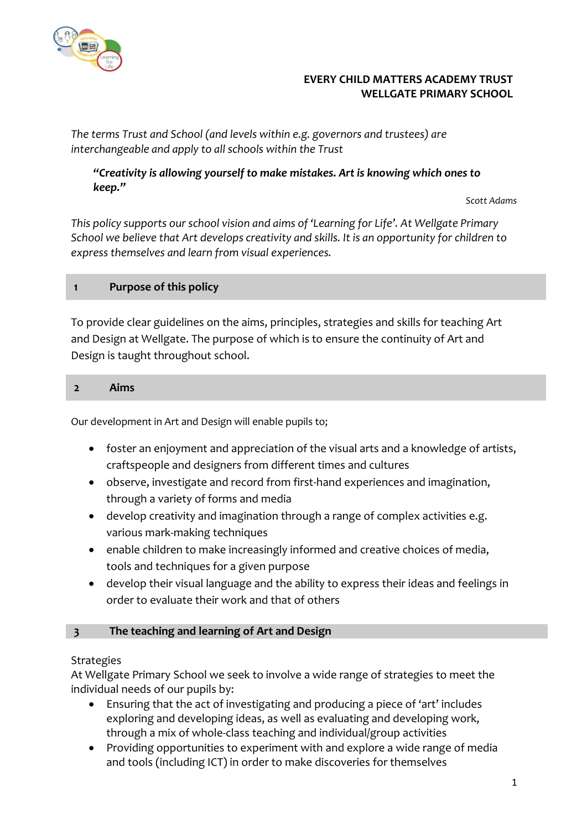

## **EVERY CHILD MATTERS ACADEMY TRUST WELLGATE PRIMARY SCHOOL**

*The terms Trust and School (and levels within e.g. governors and trustees) are interchangeable and apply to all schools within the Trust*

# *"Creativity is allowing yourself to make mistakes. Art is knowing which ones to keep."*

*Scott Adams*

*This policy supports our school vision and aims of 'Learning for Life'. At Wellgate Primary School we believe that Art develops creativity and skills. It is an opportunity for children to express themselves and learn from visual experiences.*

# **1 Purpose of this policy**

To provide clear guidelines on the aims, principles, strategies and skills for teaching Art and Design at Wellgate. The purpose of which is to ensure the continuity of Art and Design is taught throughout school.

## **2 Aims**

Our development in Art and Design will enable pupils to;

- foster an enjoyment and appreciation of the visual arts and a knowledge of artists, craftspeople and designers from different times and cultures
- observe, investigate and record from first-hand experiences and imagination, through a variety of forms and media
- develop creativity and imagination through a range of complex activities e.g. various mark-making techniques
- enable children to make increasingly informed and creative choices of media, tools and techniques for a given purpose
- develop their visual language and the ability to express their ideas and feelings in order to evaluate their work and that of others

#### **3 The teaching and learning of Art and Design**

#### **Strategies**

At Wellgate Primary School we seek to involve a wide range of strategies to meet the individual needs of our pupils by:

- Ensuring that the act of investigating and producing a piece of 'art' includes exploring and developing ideas, as well as evaluating and developing work, through a mix of whole-class teaching and individual/group activities
- Providing opportunities to experiment with and explore a wide range of media and tools (including ICT) in order to make discoveries for themselves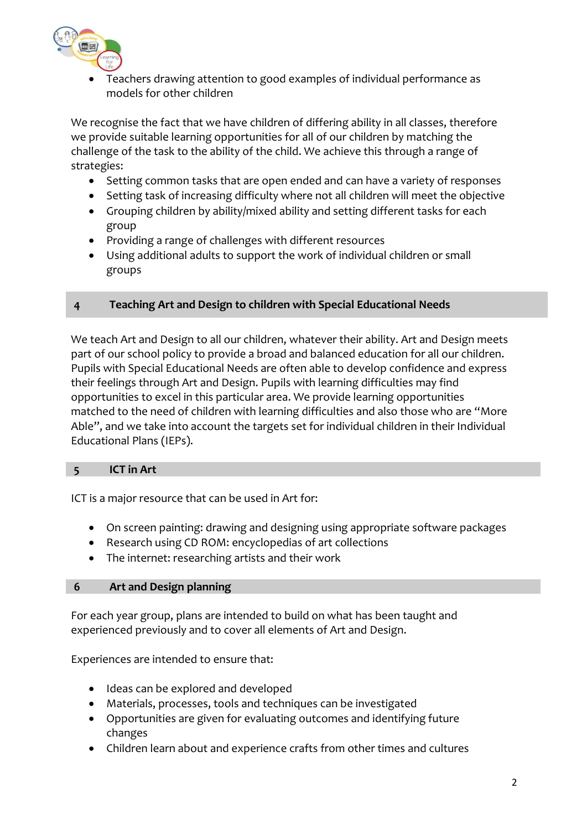

• Teachers drawing attention to good examples of individual performance as models for other children

We recognise the fact that we have children of differing ability in all classes, therefore we provide suitable learning opportunities for all of our children by matching the challenge of the task to the ability of the child. We achieve this through a range of strategies:

- Setting common tasks that are open ended and can have a variety of responses
- Setting task of increasing difficulty where not all children will meet the objective
- Grouping children by ability/mixed ability and setting different tasks for each group
- Providing a range of challenges with different resources
- Using additional adults to support the work of individual children or small groups

#### **4 Teaching Art and Design to children with Special Educational Needs**

We teach Art and Design to all our children, whatever their ability. Art and Design meets part of our school policy to provide a broad and balanced education for all our children. Pupils with Special Educational Needs are often able to develop confidence and express their feelings through Art and Design. Pupils with learning difficulties may find opportunities to excel in this particular area. We provide learning opportunities matched to the need of children with learning difficulties and also those who are "More Able", and we take into account the targets set for individual children in their Individual Educational Plans (IEPs).

### **5 ICT in Art**

ICT is a major resource that can be used in Art for:

- On screen painting: drawing and designing using appropriate software packages
- Research using CD ROM: encyclopedias of art collections
- The internet: researching artists and their work

#### **6 Art and Design planning**

For each year group, plans are intended to build on what has been taught and experienced previously and to cover all elements of Art and Design.

Experiences are intended to ensure that:

- Ideas can be explored and developed
- Materials, processes, tools and techniques can be investigated
- Opportunities are given for evaluating outcomes and identifying future changes
- Children learn about and experience crafts from other times and cultures